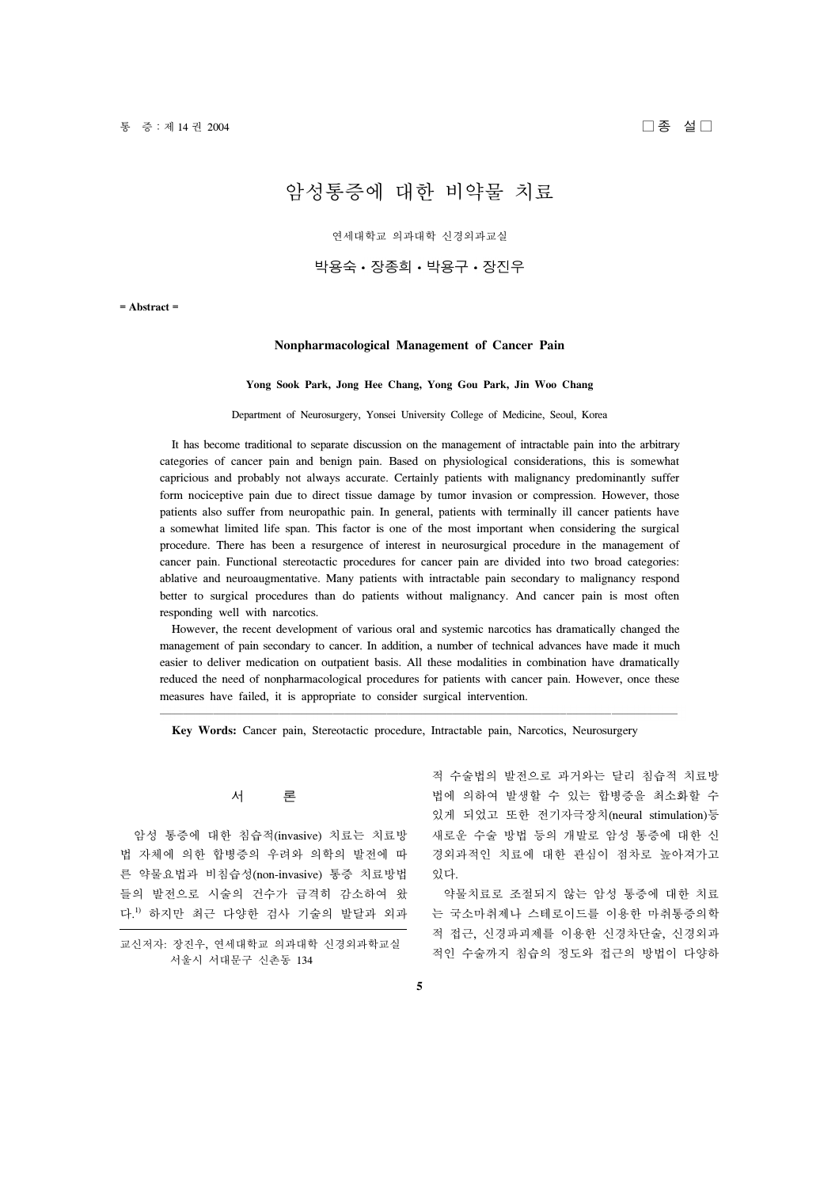# 암성통증에 대한 비약물 치료

연세대학교 의과대학 신경외과교실

# 박용숙 • 장종희 • 박용구 • 장진우

**= Abstract =**

## **Nonpharmacological Management of Cancer Pain**

#### **Yong Sook Park, Jong Hee Chang, Yong Gou Park, Jin Woo Chang**

#### Department of Neurosurgery, Yonsei University College of Medicine, Seoul, Korea

 It has become traditional to separate discussion on the management of intractable pain into the arbitrary categories of cancer pain and benign pain. Based on physiological considerations, this is somewhat capricious and probably not always accurate. Certainly patients with malignancy predominantly suffer form nociceptive pain due to direct tissue damage by tumor invasion or compression. However, those patients also suffer from neuropathic pain. In general, patients with terminally ill cancer patients have a somewhat limited life span. This factor is one of the most important when considering the surgical procedure. There has been a resurgence of interest in neurosurgical procedure in the management of cancer pain. Functional stereotactic procedures for cancer pain are divided into two broad categories: ablative and neuroaugmentative. Many patients with intractable pain secondary to malignancy respond better to surgical procedures than do patients without malignancy. And cancer pain is most often responding well with narcotics.

 However, the recent development of various oral and systemic narcotics has dramatically changed the management of pain secondary to cancer. In addition, a number of technical advances have made it much easier to deliver medication on outpatient basis. All these modalities in combination have dramatically reduced the need of nonpharmacological procedures for patients with cancer pain. However, once these measures have failed, it is appropriate to consider surgical intervention.

**Key Words:** Cancer pain, Stereotactic procedure, Intractable pain, Narcotics, Neurosurgery

## 서 론

 암성 통증에 대한 침습적(invasive) 치료는 치료방 법 자체에 의한 합병증의 우려와 의학의 발전에 따 른 약물요법과 비침습성(non-invasive) 통증 치료방법 들의 발전으로 시술의 건수가 급격히 감소하여 왔 다. 1) 하지만 최근 다양한 검사 기술의 발달과 외과

교신저자: 장진우, 연세대학교 의과대학 신경외과학교실 서울시 서대문구 신촌동 134

적 수술법의 발전으로 과거와는 달리 침습적 치료방 법에 의하여 발생할 수 있는 합병증을 최소화할 수 있게 되었고 또한 전기자극장치(neural stimulation)등 새로운 수술 방법 등의 개발로 암성 통증에 대한 신 경외과적인 치료에 대한 관심이 점차로 높아져가고 있다.

 약물치료로 조절되지 않는 암성 통증에 대한 치료 는 국소마취제나 스테로이드를 이용한 마취통증의학 적 접근, 신경파괴제를 이용한 신경차단술, 신경외과 적인 수술까지 침습의 정도와 접근의 방법이 다양하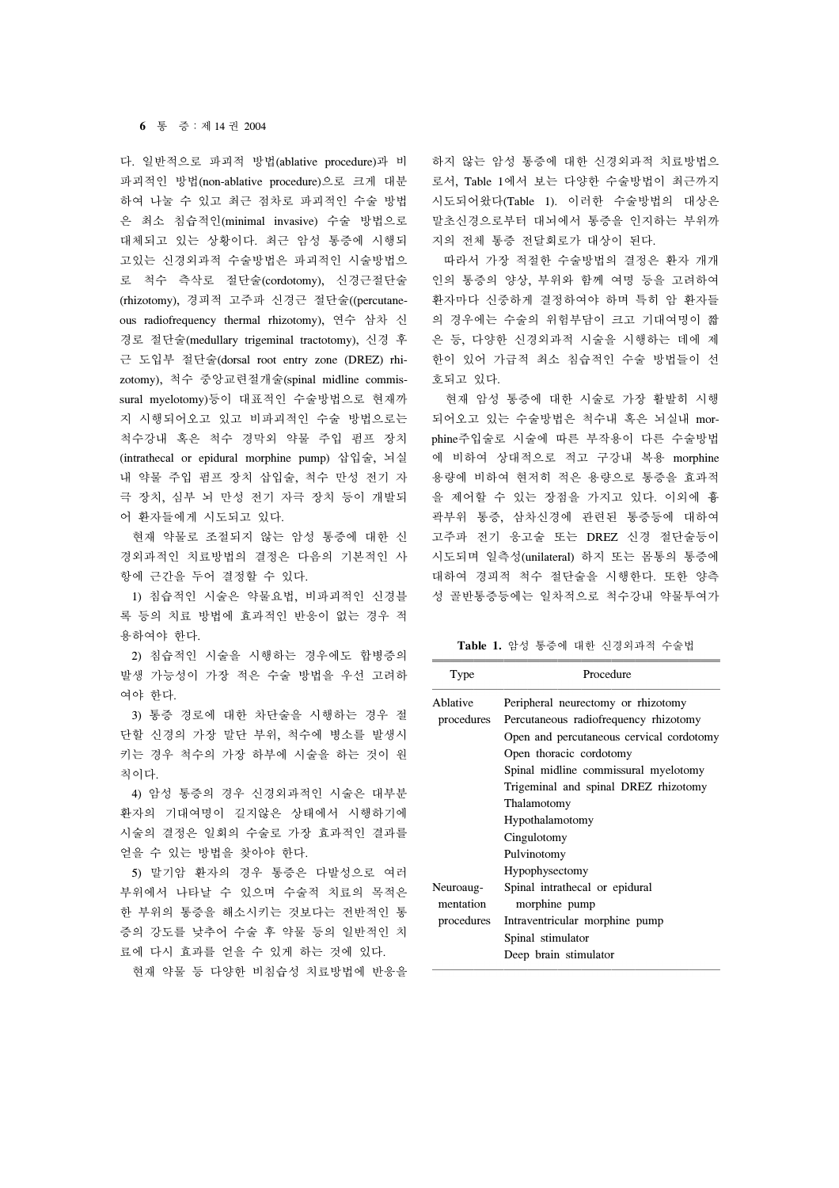#### **6** 통 증:제 14 권 2004

다. 일반적으로 파괴적 방법(ablative procedure)과 비 파괴적인 방법(non-ablative procedure)으로 크게 대분 하여 나눌 수 있고 최근 점차로 파괴적인 수술 방법 은 최소 침습적인(minimal invasive) 수술 방법으로 대체되고 있는 상황이다. 최근 암성 통증에 시행되 고있는 신경외과적 수술방법은 파괴적인 시술방법으 로 척수 측삭로 절단술(cordotomy), 신경근절단술 (rhizotomy), 경피적 고주파 신경근 절단술((percutaneous radiofrequency thermal rhizotomy), 연수 삼차 신 경로 절단술(medullary trigeminal tractotomy), 신경 후 근 도입부 절단술(dorsal root entry zone (DREZ) rhizotomy), 척수 중앙교련절개술(spinal midline commissural myelotomy)등이 대표적인 수술방법으로 현재까 지 시행되어오고 있고 비파괴적인 수술 방법으로는 척수강내 혹은 척수 경막외 약물 주입 펌프 장치 (intrathecal or epidural morphine pump) 삽입술, 뇌실 내 약물 주입 펌프 장치 삽입술, 척수 만성 전기 자 극 장치, 심부 뇌 만성 전기 자극 장치 등이 개발되 어 환자들에게 시도되고 있다.

 현재 약물로 조절되지 않는 암성 통증에 대한 신 경외과적인 치료방법의 결정은 다음의 기본적인 사 항에 근간을 두어 결정할 수 있다.

 1) 침습적인 시술은 약물요법, 비파괴적인 신경블 록 등의 치료 방법에 효과적인 반응이 없는 경우 적 용하여야 한다.

 2) 침습적인 시술을 시행하는 경우에도 합병증의 발생 가능성이 가장 적은 수술 방법을 우선 고려하 여야 한다.

 3) 통증 경로에 대한 차단술을 시행하는 경우 절 단할 신경의 가장 말단 부위, 척수에 병소를 발생시 키는 경우 척수의 가장 하부에 시술을 하는 것이 원 칙이다.

 4) 암성 통증의 경우 신경외과적인 시술은 대부분 환자의 기대여명이 길지않은 상태에서 시행하기에 시술의 결정은 일회의 수술로 가장 효과적인 결과를 얻을 수 있는 방법을 찾아야 한다.

 5) 말기암 환자의 경우 통증은 다발성으로 여러 부위에서 나타날 수 있으며 수술적 치료의 목적은 한 부위의 통증을 해소시키는 것보다는 전반적인 통 증의 강도를 낮추어 수술 후 약물 등의 일반적인 치 료에 다시 효과를 얻을 수 있게 하는 것에 있다.

현재 약물 등 다양한 비침습성 치료방법에 반응을

하지 않는 암성 통증에 대한 신경외과적 치료방법으 로서, Table 1에서 보는 다양한 수술방법이 최근까지 시도되어왔다(Table 1). 이러한 수술방법의 대상은 말초신경으로부터 대뇌에서 통증을 인지하는 부위까 지의 전체 통증 전달회로가 대상이 된다.

 따라서 가장 적절한 수술방법의 결정은 환자 개개 인의 통증의 양상, 부위와 함께 여명 등을 고려하여 환자마다 신중하게 결정하여야 하며 특히 암 환자들 의 경우에는 수술의 위험부담이 크고 기대여명이 짧 은 등, 다양한 신경외과적 시술을 시행하는 데에 제 한이 있어 가급적 최소 침습적인 수술 방법들이 선 호되고 있다.

 현재 암성 통증에 대한 시술로 가장 활발히 시행 되어오고 있는 수술방법은 척수내 혹은 뇌실내 morphine주입술로 시술에 따른 부작용이 다른 수술방법 에 비하여 상대적으로 적고 구강내 복용 morphine 용량에 비하여 현저히 적은 용량으로 통증을 효과적 을 제어할 수 있는 장점을 가지고 있다. 이외에 흉 곽부위 통증, 삼차신경에 관련된 통증등에 대하여 고주파 전기 응고술 또는 DREZ 신경 절단술등이 시도되며 일측성(unilateral) 하지 또는 몸통의 통증에 대하여 경피적 척수 절단술을 시행한다. 또한 양측 성 골반통증등에는 일차적으로 척수강내 약물투여가

**Table 1.** 암성 통증에 대한 신경외과적 수술법

| Type                   | Procedure                                       |
|------------------------|-------------------------------------------------|
| Ablative               | Peripheral neurectomy or rhizotomy              |
| procedures             | Percutaneous radiofrequency rhizotomy           |
|                        | Open and percutaneous cervical cordotomy        |
|                        | Open thoracic cordotomy                         |
|                        | Spinal midline commissural myelotomy            |
|                        | Trigeminal and spinal DREZ rhizotomy            |
|                        | Thalamotomy                                     |
|                        | Hypothalamotomy                                 |
|                        | Cingulotomy                                     |
|                        | Pulvinotomy                                     |
|                        | Hypophysectomy                                  |
| Neuroaug-<br>mentation | Spinal intrathecal or epidural<br>morphine pump |
| procedures             | Intraventricular morphine pump                  |
|                        | Spinal stimulator                               |
|                        | Deep brain stimulator                           |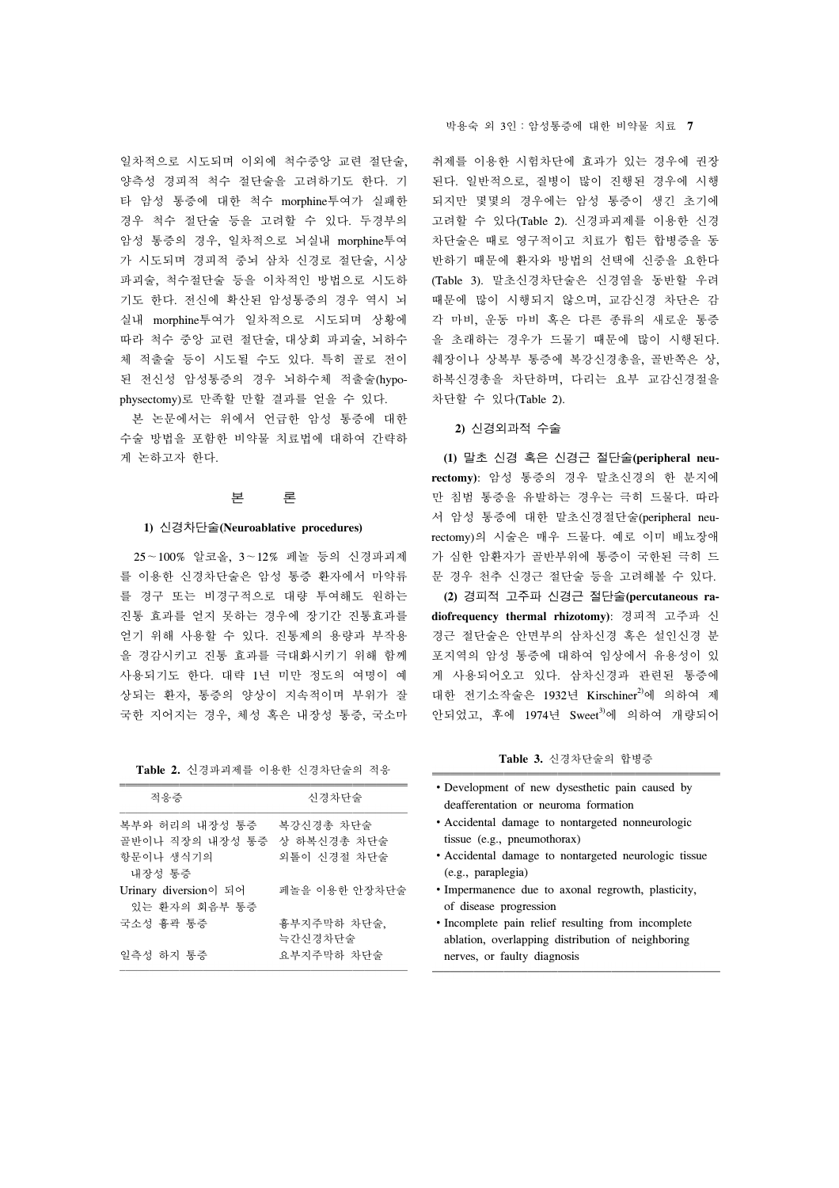일차적으로 시도되며 이외에 척수중앙 교련 절단술, 양측성 경피적 척수 절단술을 고려하기도 한다. 기 타 암성 통증에 대한 척수 morphine투여가 실패한 경우 척수 절단술 등을 고려할 수 있다. 두경부의 암성 통증의 경우, 일차적으로 뇌실내 morphine투여 가 시도되며 경피적 중뇌 삼차 신경로 절단술, 시상 파괴술, 척수절단술 등을 이차적인 방법으로 시도하 기도 한다. 전신에 확산된 암성통증의 경우 역시 뇌 실내 morphine투여가 일차적으로 시도되며 상황에 따라 척수 중앙 교련 절단술, 대상회 파괴술, 뇌하수 체 적출술 등이 시도될 수도 있다. 특히 골로 전이 된 전신성 암성통증의 경우 뇌하수체 적출술(hypophysectomy)로 만족할 만할 결과를 얻을 수 있다.

 본 논문에서는 위에서 언급한 암성 통증에 대한 수술 방법을 포함한 비약물 치료법에 대하여 간략하 게 논하고자 한다.

#### 본 론

#### **1)** 신경차단술**(Neuroablative procedures)**

 25∼100% 알코올, 3∼12% 페놀 등의 신경파괴제 를 이용한 신경차단술은 암성 통증 환자에서 마약류 를 경구 또는 비경구적으로 대량 투여해도 원하는 진통 효과를 얻지 못하는 경우에 장기간 진통효과를 얻기 위해 사용할 수 있다. 진통제의 용량과 부작용 을 경감시키고 진통 효과를 극대화시키기 위해 함께 사용되기도 한다. 대략 1년 미만 정도의 여명이 예 상되는 환자, 통증의 양상이 지속적이며 부위가 잘 국한 지어지는 경우, 체성 혹은 내장성 통증, 국소마

| Table 2. 신경파괴제를 이용한 신경차단술의 적응 |  |  |  |
|-------------------------------|--|--|--|
|-------------------------------|--|--|--|

| 적응증                                                                  | 신경차단술                    |
|----------------------------------------------------------------------|--------------------------|
| 복부와 허리의 내장성 통증<br>골반이나 직장의 내장성 통증 상 하복신경총 차단술<br>항문이나 생식기의<br>내장성 통증 | 복강신경총 차단술<br>외톨이 신경절 차단술 |
| Urinary diversion이 되어<br>있는 환자의 회음부 통증                               | 페놀을 이용한 안장차단술            |
| 국소성 흉곽 통증                                                            | 흉부지주막하 차단술,<br>늑간신경차단술   |
| 일측성 하지 통증                                                            | 요부지주막하 차단술               |

#### 박용숙 외 3인:암성통증에 대한 비약물 치료 **7**

취제를 이용한 시험차단에 효과가 있는 경우에 권장 된다. 일반적으로, 질병이 많이 진행된 경우에 시행 되지만 몇몇의 경우에는 암성 통증이 생긴 초기에 고려할 수 있다(Table 2). 신경파괴제를 이용한 신경 차단술은 때로 영구적이고 치료가 힘든 합병증을 동 반하기 때문에 환자와 방법의 선택에 신중을 요한다 (Table 3). 말초신경차단술은 신경염을 동반할 우려 때문에 많이 시행되지 않으며, 교감신경 차단은 감 각 마비, 운동 마비 혹은 다른 종류의 새로운 통증 을 초래하는 경우가 드물기 때문에 많이 시행된다. 췌장이나 상복부 통증에 복강신경총을, 골반쪽은 상, 하복신경총을 차단하며, 다리는 요부 교감신경절을 차단할 수 있다(Table 2).

### **2)** 신경외과적 수술

 **(1)** 말초 신경 혹은 신경근 절단술**(peripheral neurectomy)**: 암성 통증의 경우 말초신경의 한 분지에 만 침범 통증을 유발하는 경우는 극히 드물다. 따라 서 암성 통증에 대한 말초신경절단술(peripheral neurectomy)의 시술은 매우 드물다. 예로 이미 배뇨장애 가 심한 암환자가 골반부위에 통증이 국한된 극히 드 문 경우 천추 신경근 절단술 등을 고려해볼 수 있다.

 **(2)** 경피적 고주파 신경근 절단술**(percutaneous radiofrequency thermal rhizotomy)**: 경피적 고주파 신 경근 절단술은 안면부의 삼차신경 혹은 설인신경 분 포지역의 암성 통증에 대하여 임상에서 유용성이 있 게 사용되어오고 있다. 삼차신경과 관련된 통증에 대한 전기소작술은 1932년 Kirschiner<sup>2)</sup>에 의하여 제 안되었고, 후에 1974년 Sweet<sup>3)</sup>에 의하여 개량되어

**Table 3.** 신경차단술의 합병증

- ∙Development of new dysesthetic pain caused by deafferentation or neuroma formation
- ∙Accidental damage to nontargeted nonneurologic tissue (e.g., pneumothorax)
- ∙Accidental damage to nontargeted neurologic tissue (e.g., paraplegia)
- ∙Impermanence due to axonal regrowth, plasticity, of disease progression
- ∙Incomplete pain relief resulting from incomplete ablation, overlapping distribution of neighboring nerves, or faulty diagnosis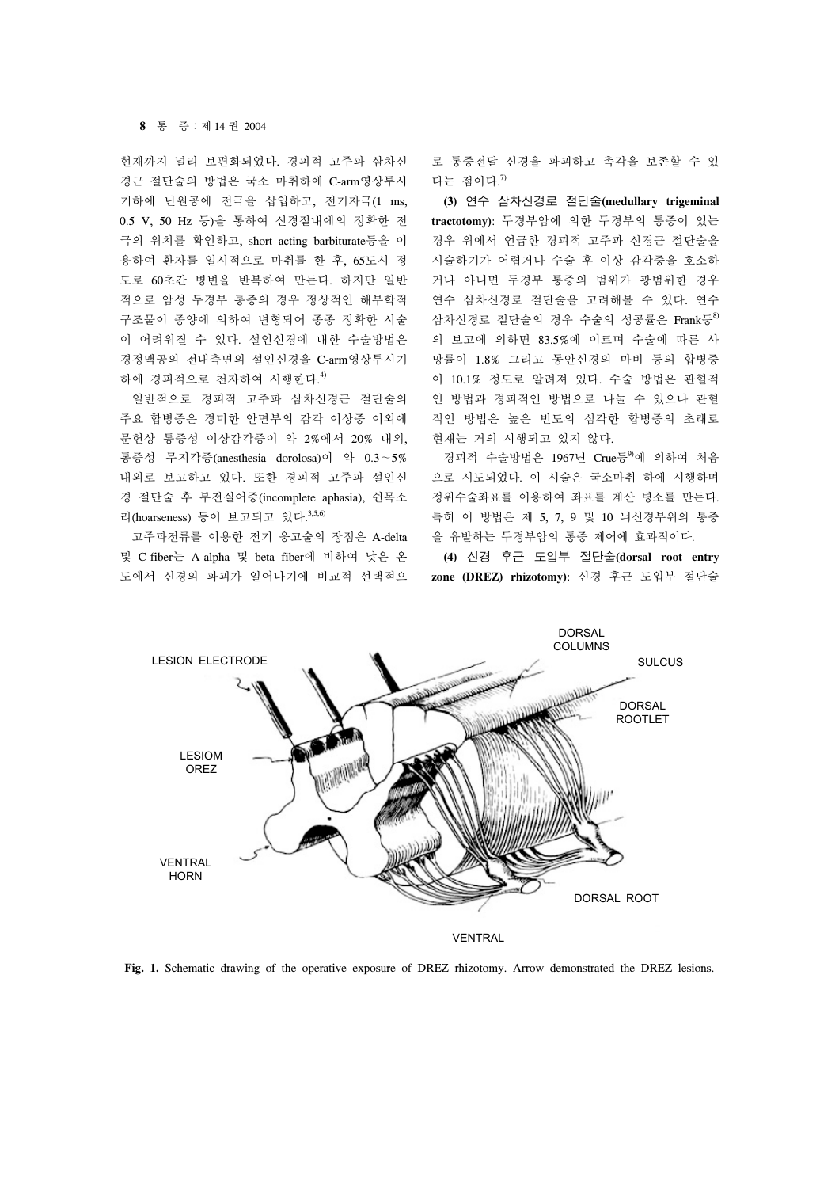#### **8** 통 증:제 14 권 2004

현재까지 널리 보편화되었다. 경피적 고주파 삼차신 경근 절단술의 방법은 국소 마취하에 C-arm영상투시 기하에 난원공에 전극을 삽입하고, 전기자극(1 ms, 0.5 V, 50 Hz 등)을 통하여 신경절내에의 정확한 전 극의 위치를 확인하고, short acting barbiturate등을 이 용하여 환자를 일시적으로 마취를 한 후, 65도시 정 도로 60초간 병변을 반복하여 만든다. 하지만 일반 적으로 암성 두경부 통증의 경우 정상적인 해부학적 구조물이 종양에 의하여 변형되어 종종 정확한 시술 이 어려워질 수 있다. 설인신경에 대한 수술방법은 경정맥공의 전내측면의 설인신경을 C-arm영상투시기 하에 경피적으로 천자하여 시행한다. 4)

 일반적으로 경피적 고주파 삼차신경근 절단술의 주요 합병증은 경미한 안면부의 감각 이상증 이외에 문헌상 통증성 이상감각증이 약 2%에서 20% 내외, 통증성 무지각증(anesthesia dorolosa)이 약 0.3∼5% 내외로 보고하고 있다. 또한 경피적 고주파 설인신 경 절단술 후 부전실어증(incomplete aphasia), 쉰목소 리(hoarseness) 등이 보고되고 있다. 3,5,6)

 고주파전류를 이용한 전기 응고술의 장점은 A-delta 및 C-fiber는 A-alpha 및 beta fiber에 비하여 낮은 온 도에서 신경의 파괴가 일어나기에 비교적 선택적으 로 통증전달 신경을 파괴하고 촉각을 보존할 수 있 다는 점이다.<sup>7)</sup>

 **(3)** 연수 삼차신경로 절단술**(medullary trigeminal tractotomy)**: 두경부암에 의한 두경부의 통증이 있는 경우 위에서 언급한 경피적 고주파 신경근 절단술을 시술하기가 어렵거나 수술 후 이상 감각증을 호소하 거나 아니면 두경부 통증의 범위가 광범위한 경우 연수 삼차신경로 절단술을 고려해볼 수 있다. 연수 삼차신경로 절단술의 경우 수술의 성공률은 Frank등<sup>8)</sup> 의 보고에 의하면 83.5%에 이르며 수술에 따른 사 망률이 1.8% 그리고 동안신경의 마비 등의 합병증 이 10.1% 정도로 알려져 있다. 수술 방법은 관혈적 인 방법과 경피적인 방법으로 나눌 수 있으나 관혈 적인 방법은 높은 빈도의 심각한 합병증의 초래로 현재는 거의 시행되고 있지 않다.

경피적 수술방법은 1967년 Crue등<sup>9</sup>에 의하여 처음 으로 시도되었다. 이 시술은 국소마취 하에 시행하며 정위수술좌표를 이용하여 좌표를 계산 병소를 만든다. 특히 이 방법은 제 5, 7, 9 및 10 뇌신경부위의 통증 을 유발하는 두경부암의 통증 제어에 효과적이다.

 **(4)** 신경 후근 도입부 절단술**(dorsal root entry zone (DREZ) rhizotomy)**: 신경 후근 도입부 절단술



**Fig. 1.** Schematic drawing of the operative exposure of DREZ rhizotomy. Arrow demonstrated the DREZ lesions.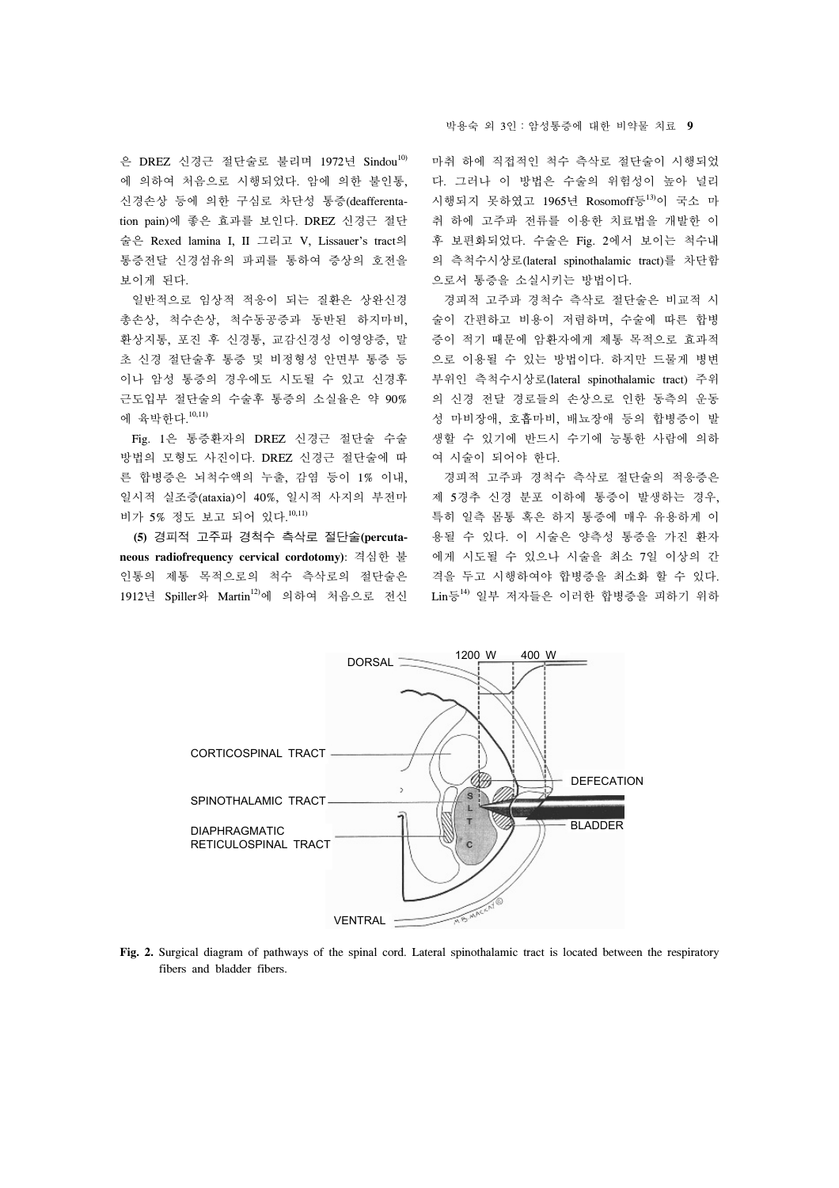은 DREZ 신경근 절단술로 불리며 1972년 Sindou<sup>10)</sup> 에 의하여 처음으로 시행되었다. 암에 의한 불인통, 신경손상 등에 의한 구심로 차단성 통증(deafferentation pain)에 좋은 효과를 보인다. DREZ 신경근 절단 술은 Rexed lamina I, II 그리고 V, Lissauer's tract의 통증전달 신경섬유의 파괴를 통하여 증상의 호전을 보이게 된다.

 일반적으로 임상적 적응이 되는 질환은 상완신경 총손상, 척수손상, 척수동공증과 동반된 하지마비, 환상지통, 포진 후 신경통, 교감신경성 이영양증, 말 초 신경 절단술후 통증 및 비정형성 안면부 통증 등 이나 암성 통증의 경우에도 시도될 수 있고 신경후 근도입부 절단술의 수술후 통증의 소실율은 약 90% 에 육박한다. 10,11)

 Fig. 1은 통증환자의 DREZ 신경근 절단술 수술 방법의 모형도 사진이다. DREZ 신경근 절단술에 따 른 합병증은 뇌척수액의 누출, 감염 등이 1% 이내, 일시적 실조증(ataxia)이 40%, 일시적 사지의 부전마 비가 5% 정도 보고 되어 있다. 10,11)

 **(5)** 경피적 고주파 경척수 측삭로 절단술**(percutaneous radiofrequency cervical cordotomy)**: 격심한 불 인통의 제통 목적으로의 척수 측삭로의 절단술은 1912년 Spiller와 Martin<sup>12)</sup>에 의하여 처음으로 전신 박용숙 외 3인:암성통증에 대한 비약물 치료 **9**

마취 하에 직접적인 척수 측삭로 절단술이 시행되었 다. 그러나 이 방법은 수술의 위험성이 높아 널리 시행되지 못하였고 1965년 Rosomoff등13)이 국소 마 취 하에 고주파 전류를 이용한 치료법을 개발한 이 후 보편화되었다. 수술은 Fig. 2에서 보이는 척수내 의 측척수시상로(lateral spinothalamic tract)를 차단함 으로서 통증을 소실시키는 방법이다.

 경피적 고주파 경척수 측삭로 절단술은 비교적 시 술이 간편하고 비용이 저렴하며, 수술에 따른 합병 증이 적기 때문에 암환자에게 제통 목적으로 효과적 으로 이용될 수 있는 방법이다. 하지만 드물게 병변 부위인 측척수시상로(lateral spinothalamic tract) 주위 의 신경 전달 경로들의 손상으로 인한 동측의 운동 성 마비장애, 호흡마비, 배뇨장애 등의 합병증이 발 생할 수 있기에 반드시 수기에 능통한 사람에 의하 여 시술이 되어야 한다.

 경피적 고주파 경척수 측삭로 절단술의 적응증은 제 5경추 신경 분포 이하에 통증이 발생하는 경우, 특히 일측 몸통 혹은 하지 통증에 매우 유용하게 이 용될 수 있다. 이 시술은 양측성 통증을 가진 환자 에게 시도될 수 있으나 시술을 최소 7일 이상의 간 격을 두고 시행하여야 합병증을 최소화 할 수 있다.  $\text{Lin}_{\mathcal{D}}^{\mathbb{E}^{14}}$  일부 저자들은 이러한 합병증을 피하기 위하



**Fig. 2.** Surgical diagram of pathways of the spinal cord. Lateral spinothalamic tract is located between the respiratory fibers and bladder fibers.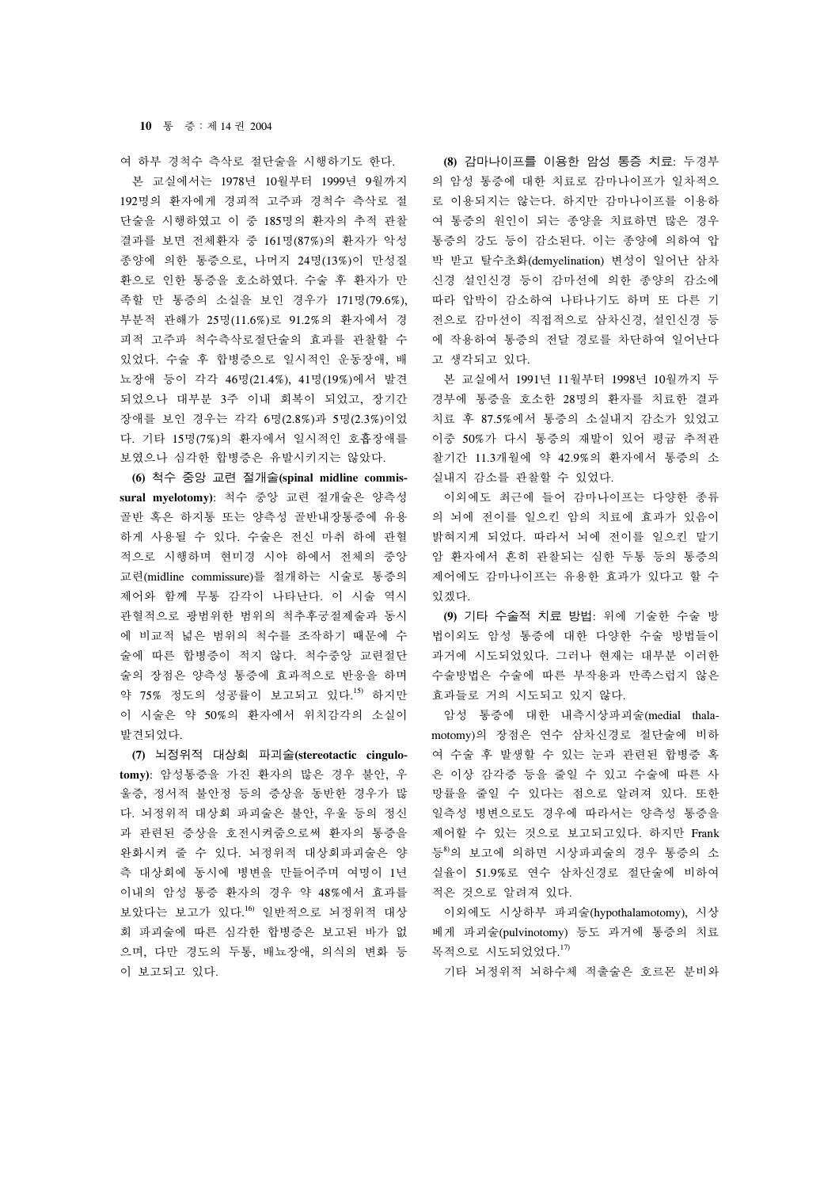#### **10** 통 증:제 14 권 2004

여 하부 경척수 측삭로 절단술을 시행하기도 한다.

 본 교실에서는 1978년 10월부터 1999년 9월까지 192명의 환자에게 경피적 고주파 경척수 측삭로 절 단술을 시행하였고 이 중 185명의 환자의 추적 관찰 결과를 보면 전체환자 중 161명(87%)의 환자가 악성 종양에 의한 통증으로, 나머지 24명(13%)이 만성질 환으로 인한 통증을 호소하였다. 수술 후 환자가 만 족할 만 통증의 소실을 보인 경우가 171명(79.6%), 부분적 관해가 25명(11.6%)로 91.2%의 환자에서 경 피적 고주파 척수측삭로절단술의 효과를 관찰할 수 있었다. 수술 후 합병증으로 일시적인 운동장애, 배 뇨장애 등이 각각 46명(21.4%), 41명(19%)에서 발견 되었으나 대부분 3주 이내 회복이 되었고, 장기간 장애를 보인 경우는 각각 6명(2.8%)과 5명(2.3%)이었 다. 기타 15명(7%)의 환자에서 일시적인 호흡장애를 보였으나 심각한 합병증은 유발시키지는 않았다.

 **(6)** 척수 중앙 교련 절개술**(spinal midline commissural myelotomy)**: 척수 중앙 교련 절개술은 양측성 골반 혹은 하지통 또는 양측성 골반내장통증에 유용 하게 사용될 수 있다. 수술은 전신 마취 하에 관혈 적으로 시행하며 현미경 시야 하에서 전체의 중앙 교련(midline commissure)를 절개하는 시술로 통증의 제어와 함께 무통 감각이 나타난다. 이 시술 역시 관혈적으로 광범위한 범위의 척추후궁절제술과 동시 에 비교적 넒은 범위의 척수를 조작하기 때문에 수 술에 따른 합병증이 적지 않다. 척수중앙 교련절단 술의 장점은 양측성 통증에 효과적으로 반응을 하며 약 75% 정도의 성공률이 보고되고 있다. 15) 하지만 이 시술은 약 50%의 환자에서 위치감각의 소실이 발견되었다.

 **(7)** 뇌정위적 대상회 파괴술**(stereotactic cingulotomy)**: 암성통증을 가진 환자의 많은 경우 불안, 우 울증, 정서적 불안정 등의 증상을 동반한 경우가 많 다. 뇌정위적 대상회 파괴술은 불안, 우울 등의 정신 과 관련된 증상을 호전시켜줌으로써 환자의 통증을 완화시켜 줄 수 있다. 뇌정위적 대상회파괴술은 양 측 대상회에 동시에 병변을 만들어주며 여명이 1년 이내의 암성 통증 환자의 경우 약 48%에서 효과를 보았다는 보고가 있다. 16) 일반적으로 뇌정위적 대상 회 파괴술에 따른 심각한 합병증은 보고된 바가 없 으며, 다만 경도의 두통, 배뇨장애, 의식의 변화 등 이 보고되고 있다.

 **(8)** 감마나이프를 이용한 암성 통증 치료: 두경부 의 암성 통증에 대한 치료로 감마나이프가 일차적으 로 이용되지는 않는다. 하지만 감마나이프를 이용하 여 통증의 원인이 되는 종양을 치료하면 많은 경우 통증의 강도 등이 감소된다. 이는 종양에 의하여 압 박 받고 탈수초화(demyelination) 변성이 일어난 삼차 신경 설인신경 등이 감마선에 의한 종양의 감소에 따라 압박이 감소하여 나타나기도 하며 또 다른 기 전으로 감마선이 직접적으로 삼차신경, 설인신경 등 에 작용하여 통증의 전달 경로를 차단하여 일어난다 고 생각되고 있다.

 본 교실에서 1991년 11월부터 1998년 10월까지 두 경부에 통증을 호소한 28명의 환자를 치료한 결과 치료 후 87.5%에서 통증의 소실내지 감소가 있었고 이중 50%가 다시 통증의 재발이 있어 평귬 추적관 찰기간 11.3개월에 약 42.9%의 환자에서 통증의 소 실내지 감소를 관찰할 수 있었다.

 이외에도 최근에 들어 감마나이프는 다양한 종류 의 뇌에 전이를 일으킨 암의 치료에 효과가 있음이 밝혀지게 되었다. 따라서 뇌에 전이를 일으킨 말기 암 환자에서 흔히 관찰되는 심한 두통 등의 통증의 제어에도 감마나이프는 유용한 효과가 있다고 할 수 있겠다.

 **(9)** 기타 수술적 치료 방법: 위에 기술한 수술 방 법이외도 암성 통증에 대한 다양한 수술 방법들이 과거에 시도되었있다. 그러나 현재는 대부분 이러한 수술방법은 수술에 따른 부작용과 만족스럽지 않은 효과들로 거의 시도되고 있지 않다.

 암성 통증에 대한 내측시상파괴술(medial thalamotomy)의 장점은 연수 삼차신경로 절단술에 비하 여 수술 후 발생할 수 있는 눈과 관련된 합병증 혹 은 이상 감각증 등을 줄일 수 있고 수술에 따른 사 망률을 줄일 수 있다는 점으로 알려져 있다. 또한 일측성 병변으로도 경우에 따라서는 양측성 통증을 제어할 수 있는 것으로 보고되고있다. 하지만 Frank 등8)의 보고에 의하면 시상파괴술의 경우 통증의 소 실율이 51.9%로 연수 삼차신경로 절단술에 비하여 적은 것으로 알려져 있다.

 이외에도 시상하부 파괴술(hypothalamotomy), 시상 베게 파괴술(pulvinotomy) 등도 과거에 통증의 치료 목적으로 시도되었었다.<sup>17)</sup>

기타 뇌정위적 뇌하수체 적출술은 호르몬 분비와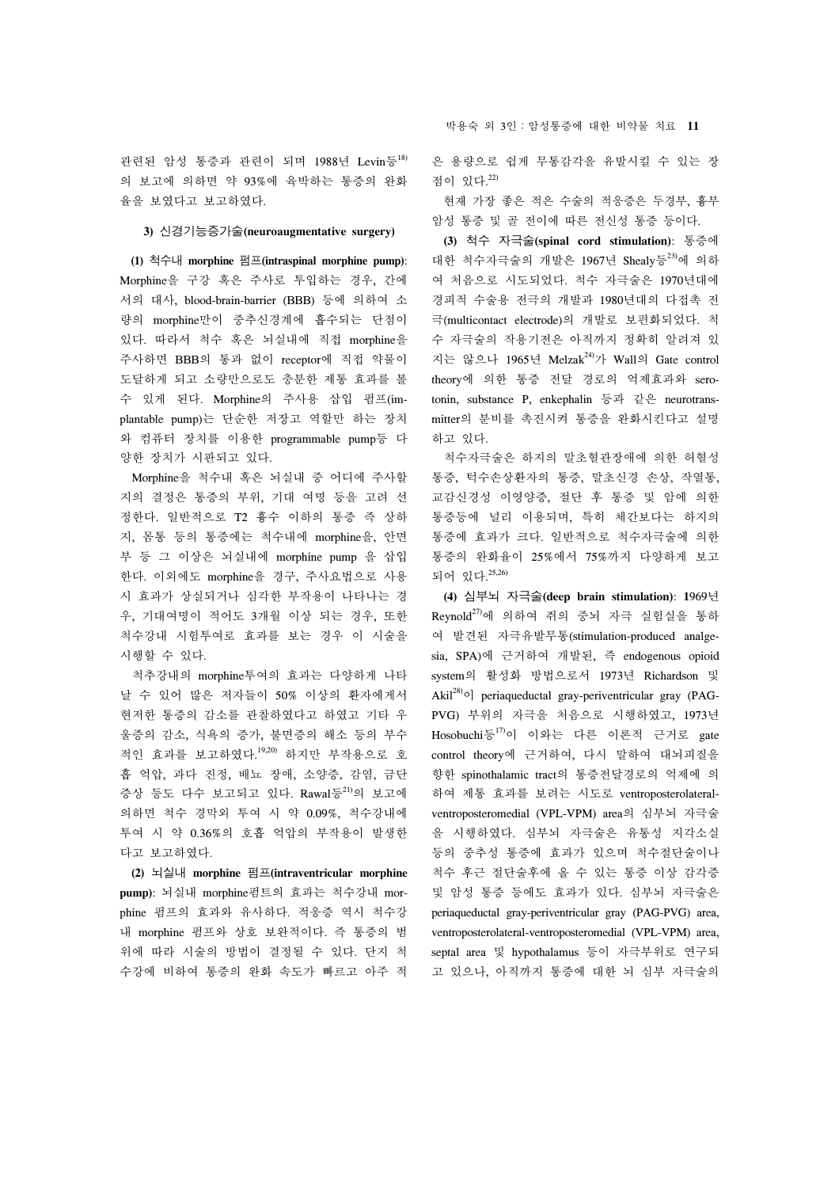관련된 암성 통증과 관련이 되며 1988년 Levin등<sup>18)</sup> 의 보고에 의하면 약 93%에 육박하는 통증의 완화 율을 보였다고 보고하였다.

# **3)** 신경기능증가술**(neuroaugmentative surgery)**

 **(1)** 척수내 **morphine** 펌프**(intraspinal morphine pump)**: Morphine을 구강 혹은 주사로 투입하는 경우, 간에 서의 대사, blood-brain-barrier (BBB) 등에 의하여 소 량의 morphine만이 중추신경계에 흡수되는 단점이 있다. 따라서 척수 혹은 뇌실내에 직접 morphine을 주사하면 BBB의 통과 없이 receptor에 직접 약물이 도달하게 되고 소량만으로도 충분한 제통 효과를 볼 수 있게 된다. Morphine의 주사용 삽입 펌프(implantable pump)는 단순한 저장고 역할만 하는 장치 와 컴퓨터 장치를 이용한 programmable pump등 다 양한 장치가 시판되고 있다.

 Morphine을 척수내 혹은 뇌실내 중 어디에 주사할 지의 결정은 통증의 부위, 기대 여명 등을 고려 선 정한다. 일반적으로 T2 흉수 이하의 통증 즉 상하 지, 몸통 등의 통증에는 척수내에 morphine을, 안면 부 등 그 이상은 뇌실내에 morphine pump 을 삽입 한다. 이외에도 morphine을 경구, 주사요법으로 사용 시 효과가 상실되거나 심각한 부작용이 나타나는 경 우, 기대여명이 적어도 3개월 이상 되는 경우, 또한 척수강내 시험투여로 효과를 보는 경우 이 시술을 시행할 수 있다.

 척추강내의 morphine투여의 효과는 다양하게 나타 날 수 있어 많은 저자들이 50% 이상의 환자에게서 현저한 통증의 감소를 관찰하였다고 하였고 기타 우 울증의 감소, 식욕의 증가, 불면증의 해소 등의 부수 적인 효과를 보고하였다. 19,20) 하지만 부작용으로 호 흡 억압, 과다 진정, 배뇨 장애, 소양증, 감염, 금단 증상 등도 다수 보고되고 있다. Rawal등21)의 보고에 의하면 척수 경막외 투여 시 약 0.09%, 척수강내에 투여 시 약 0.36%의 호흡 억압의 부작용이 발생한 다고 보고하였다.

 **(2)** 뇌실내 **morphine** 펌프**(intraventricular morphine pump)**: 뇌실내 morphine펌트의 효과는 척수강내 morphine 펌프의 효과와 유사하다. 적응증 역시 척수강 내 morphine 펌프와 상호 보완적이다. 즉 통증의 범 위에 따라 시술의 방법이 결정될 수 있다. 단지 척 수강에 비하여 통증의 완화 속도가 빠르고 아주 적 박용숙 외 3인:암성통증에 대한 비약물 치료 **11**

은 용량으로 쉽게 무통감각을 유발시킬 수 있는 장 점이 있다. 22)

 현재 가장 좋은 적은 수술의 적응증은 두경부, 흉부 암성 통증 및 골 전이에 따른 전신성 통증 등이다.

 **(3)** 척수 자극술**(spinal cord stimulation)**: 통증에 대한 척수자극술의 개발은 1967년 Shealy등23)에 의하 여 처음으로 시도되었다. 척수 자극술은 1970년대에 경피적 수술용 전극의 개발과 1980년대의 다접촉 전 극(multicontact electrode)의 개발로 보편화되었다. 척 수 자극술의 작용기전은 아직까지 정확히 알려져 있 지는 않으나 1965년 Melzak<sup>24)</sup>가 Wall의 Gate control theory에 의한 통증 전달 경로의 억제효과와 serotonin, substance P, enkephalin 등과 같은 neurotransmitter의 분비를 촉진시켜 통증을 완화시킨다고 설명 하고 있다.

 척수자극술은 하지의 말초혈관장애에 의한 허혈성 통증, 턱수손상환자의 통증, 말초신경 손상, 작열통, 교감신경성 이영양증, 절단 후 통증 및 암에 의한 통증등에 널리 이용되며, 특히 체간보다는 하지의 통증에 효과가 크다. 일반적으로 척수자극술에 의한 통증의 완화율이 25%에서 75%까지 다양하게 보고 되어 있다. 25,26)

 **(4)** 심부뇌 자극술**(deep brain stimulation)**: **1**969년  $Reynold^{27)}$ 에 의하여 쥐의 중뇌 자극 실험실을 통하 여 발견된 자극유발무통(stimulation-produced analgesia, SPA)에 근거하여 개발된, 즉 endogenous opioid system의 활성화 방법으로서 1973년 Richardson 및 Akil $28$ ) periaqueductal gray-periventricular gray (PAG-PVG) 부위의 자극을 처음으로 시행하였고, 1973년 Hosobuchi등<sup>17)</sup>이 이와는 다른 이론적 근거로 gate control theory에 근거하여, 다시 말하여 대뇌피질을 향한 spinothalamic tract의 통증전달경로의 억제에 의 하여 제통 효과를 보려는 시도로 ventroposterolateralventroposteromedial (VPL-VPM) area의 심부뇌 자극술 을 시행하였다. 심부뇌 자극술은 유통성 지각소실 등의 중추성 통증에 효과가 있으며 척수절단술이나 척수 후근 절단술후에 올 수 있는 통증 이상 감각증 및 암성 통증 등에도 효과가 있다. 심부뇌 자극술은 periaqueductal gray-periventricular gray (PAG-PVG) area, ventroposterolateral-ventroposteromedial (VPL-VPM) area, septal area 및 hypothalamus 등이 자극부위로 연구되 고 있으나, 아직까지 통증에 대한 뇌 심부 자극술의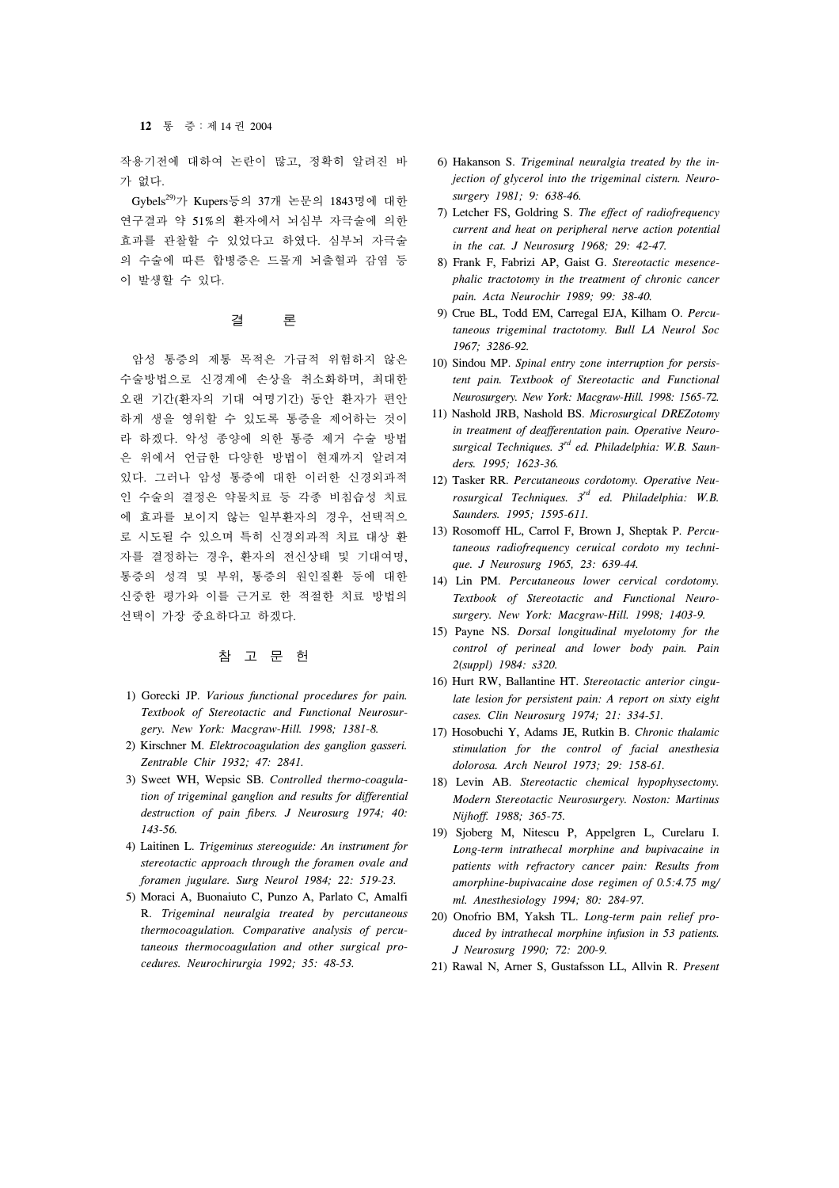작용기전에 대하여 논란이 많고, 정확히 알려진 바 가 없다.

 Gybels29)가 Kupers등의 37개 논문의 1843명에 대한 연구결과 약 51%의 환자에서 뇌심부 자극술에 의한 효과를 관찰할 수 있었다고 하였다. 심부뇌 자극술 의 수술에 따른 합병증은 드물게 뇌출혈과 감염 등 이 발생할 수 있다.

# 결 론

 암성 통증의 제통 목적은 가급적 위험하지 않은 수술방법으로 신경계에 손상을 취소화하며, 최대한 오랜 기간(환자의 기대 여명기간) 동안 환자가 편안 하게 생을 영위할 수 있도록 통증을 제어하는 것이 라 하겠다. 악성 종양에 의한 통증 제거 수술 방법 은 위에서 언급한 다양한 방법이 현재까지 알려져 있다. 그러나 암성 통증에 대한 이러한 신경외과적 인 수술의 결정은 약물치료 등 각종 비침습성 치료 에 효과를 보이지 않는 일부환자의 경우, 선택적으 로 시도될 수 있으며 특히 신경외과적 치료 대상 환 자를 결정하는 경우, 환자의 전신상태 및 기대여명, 통증의 성격 및 부위, 통증의 원인질환 등에 대한 신중한 평가와 이를 근거로 한 적절한 치료 방법의 선택이 가장 중요하다고 하겠다.

# 참 고 문 헌

- 1) Gorecki JP. *Various functional procedures for pain. Textbook of Stereotactic and Functional Neurosurgery. New York: Macgraw-Hill. 1998; 1381-8.*
- 2) Kirschner M. *Elektrocoagulation des ganglion gasseri. Zentrable Chir 1932; 47: 2841.*
- 3) Sweet WH, Wepsic SB. *Controlled thermo-coagulation of trigeminal ganglion and results for differential destruction of pain fibers. J Neurosurg 1974; 40: 143-56.*
- 4) Laitinen L. *Trigeminus stereoguide: An instrument for stereotactic approach through the foramen ovale and foramen jugulare. Surg Neurol 1984; 22: 519-23.*
- 5) Moraci A, Buonaiuto C, Punzo A, Parlato C, Amalfi R. *Trigeminal neuralgia treated by percutaneous thermocoagulation. Comparative analysis of percutaneous thermocoagulation and other surgical procedures. Neurochirurgia 1992; 35: 48-53.*
- 6) Hakanson S. *Trigeminal neuralgia treated by the injection of glycerol into the trigeminal cistern. Neurosurgery 1981; 9: 638-46.*
- 7) Letcher FS, Goldring S. *The effect of radiofrequency current and heat on peripheral nerve action potential in the cat. J Neurosurg 1968; 29: 42-47.*
- 8) Frank F, Fabrizi AP, Gaist G. *Stereotactic mesencephalic tractotomy in the treatment of chronic cancer pain. Acta Neurochir 1989; 99: 38-40.*
- 9) Crue BL, Todd EM, Carregal EJA, Kilham O. *Percutaneous trigeminal tractotomy. Bull LA Neurol Soc 1967; 3286-92.*
- 10) Sindou MP. *Spinal entry zone interruption for persistent pain. Textbook of Stereotactic and Functional Neurosurgery. New York: Macgraw-Hill. 1998: 1565-72.*
- 11) Nashold JRB, Nashold BS. *Microsurgical DREZotomy in treatment of deafferentation pain. Operative Neurosurgical Techniques. 3rd ed. Philadelphia: W.B. Saunders. 1995; 1623-36.*
- 12) Tasker RR. *Percutaneous cordotomy. Operative Neurosurgical Techniques. 3rd ed. Philadelphia: W.B. Saunders. 1995; 1595-611.*
- 13) Rosomoff HL, Carrol F, Brown J, Sheptak P. *Percutaneous radiofrequency ceruical cordoto my technique. J Neurosurg 1965, 23: 639-44.*
- 14) Lin PM. *Percutaneous lower cervical cordotomy. Textbook of Stereotactic and Functional Neurosurgery. New York: Macgraw-Hill. 1998; 1403-9.*
- 15) Payne NS. *Dorsal longitudinal myelotomy for the control of perineal and lower body pain. Pain 2(suppl) 1984: s320.*
- 16) Hurt RW, Ballantine HT. *Stereotactic anterior cingulate lesion for persistent pain: A report on sixty eight cases. Clin Neurosurg 1974; 21: 334-51.*
- 17) Hosobuchi Y, Adams JE, Rutkin B. *Chronic thalamic stimulation for the control of facial anesthesia dolorosa. Arch Neurol 1973; 29: 158-61.*
- 18) Levin AB. *Stereotactic chemical hypophysectomy. Modern Stereotactic Neurosurgery. Noston: Martinus Nijhoff. 1988; 365-75.*
- 19) Sjoberg M, Nitescu P, Appelgren L, Curelaru I. *Long-term intrathecal morphine and bupivacaine in patients with refractory cancer pain: Results from amorphine-bupivacaine dose regimen of 0.5:4.75 mg/ ml. Anesthesiology 1994; 80: 284-97.*
- 20) Onofrio BM, Yaksh TL. *Long-term pain relief produced by intrathecal morphine infusion in 53 patients. J Neurosurg 1990; 72: 200-9.*
- 21) Rawal N, Arner S, Gustafsson LL, Allvin R. *Present*